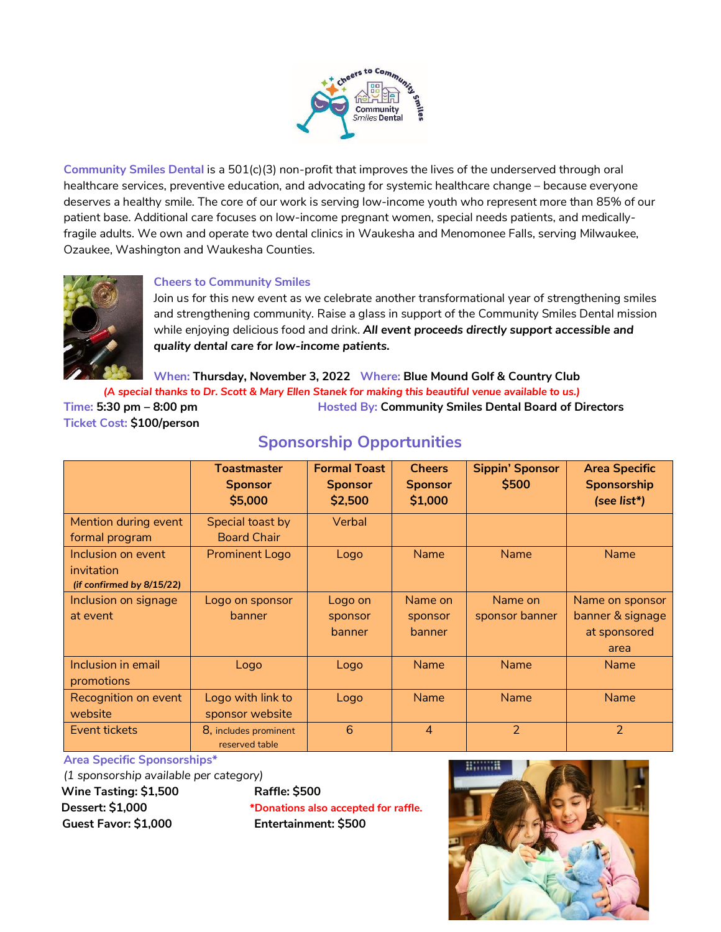

**Community Smiles Dental** is a 501(c)(3) non-profit that improves the lives of the underserved through oral healthcare services, preventive education, and advocating for systemic healthcare change – because everyone deserves a healthy smile. The core of our work is serving low-income youth who represent more than 85% of our patient base. Additional care focuses on low-income pregnant women, special needs patients, and medicallyfragile adults. We own and operate two dental clinics in Waukesha and Menomonee Falls, serving Milwaukee, Ozaukee, Washington and Waukesha Counties.



## **Cheers to Community Smiles**

Join us for this new event as we celebrate another transformational year of strengthening smiles and strengthening community. Raise a glass in support of the Community Smiles Dental mission while enjoying delicious food and drink. *All event proceeds directly support accessible and quality dental care for low-income patients.*

**When: Thursday, November 3, 2022 Where: Blue Mound Golf & Country Club**

 *(A special thanks to Dr. Scott & Mary Ellen Stanek for making this beautiful venue available to us.)*

**Time: 5:30 pm – 8:00 pm Hosted By: Community Smiles Dental Board of Directors Ticket Cost: \$100/person** 

|                           | <b>Toastmaster</b><br><b>Sponsor</b>    | <b>Formal Toast</b><br><b>Sponsor</b> | <b>Cheers</b><br><b>Sponsor</b> | <b>Sippin' Sponsor</b><br>\$500 | <b>Area Specific</b><br><b>Sponsorship</b> |
|---------------------------|-----------------------------------------|---------------------------------------|---------------------------------|---------------------------------|--------------------------------------------|
|                           | \$5,000                                 | \$2,500                               | \$1,000                         |                                 | (see list*)                                |
| Mention during event      | Special toast by                        | Verbal                                |                                 |                                 |                                            |
| formal program            | <b>Board Chair</b>                      |                                       |                                 |                                 |                                            |
| Inclusion on event        | <b>Prominent Logo</b>                   | Logo                                  | <b>Name</b>                     | <b>Name</b>                     | <b>Name</b>                                |
| invitation                |                                         |                                       |                                 |                                 |                                            |
| (if confirmed by 8/15/22) |                                         |                                       |                                 |                                 |                                            |
| Inclusion on signage      | Logo on sponsor                         | Logo on                               | Name on                         | Name on                         | Name on sponsor                            |
| at event                  | banner                                  | sponsor                               | sponsor                         | sponsor banner                  | banner & signage                           |
|                           |                                         | banner                                | banner                          |                                 | at sponsored                               |
|                           |                                         |                                       |                                 |                                 | area                                       |
| Inclusion in email        | Logo                                    | Logo                                  | <b>Name</b>                     | <b>Name</b>                     | <b>Name</b>                                |
| promotions                |                                         |                                       |                                 |                                 |                                            |
| Recognition on event      | Logo with link to                       | Logo                                  | <b>Name</b>                     | <b>Name</b>                     | <b>Name</b>                                |
| website                   | sponsor website                         |                                       |                                 |                                 |                                            |
| Event tickets             | 8, includes prominent<br>reserved table | 6                                     | $\overline{4}$                  | $\overline{2}$                  | $\overline{2}$                             |

## **Sponsorship Opportunities**

**Area Specific Sponsorships\***

*(1 sponsorship available per category)* **Wine Tasting: \$1,500 Raffle: \$500** 

 **Guest Favor: \$1,000 Entertainment: \$500**

 **Dessert: \$1,000 \*Donations also accepted for raffle.**